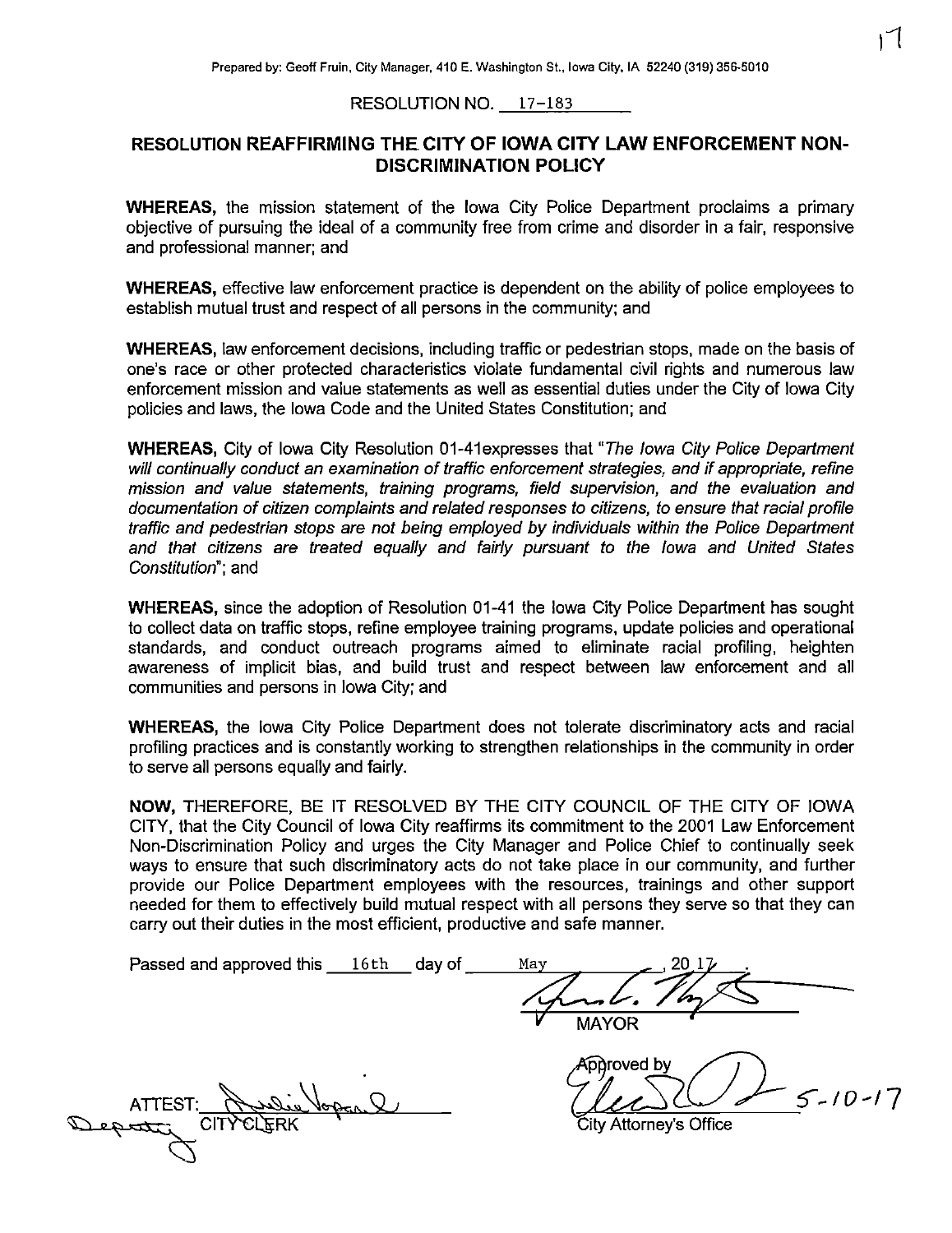## RESOLUTION NO. 17-183

## RESOLUTION REAFFIRMING THE. CITY OF IOWA CITY LAW ENFORCEMENT NON-DISCRIMINATION POLICY

WHEREAS, the mission statement of the Iowa City Police Department proclaims a primary objective of pursuing the ideal of a community free from crime and disorder in a fair, responsive and professional manner; and

WHEREAS, effective law enforcement practice is dependent on the ability of police employees to establish mutual trust and respect of all persons in the community; and

WHEREAS, law enforcement decisions, including traffic or pedestrian stops, made on the basis of one's race or other protected characteristics violate fundamental civil rights and numerous law enforcement mission and value statements as well as essential duties under the City of Iowa City policies and laws, the Iowa Code and the United States Constitution; and

WHEREAS, City of Iowa City Resolution 01-41expresses that "The Iowa City Police Department will continually conduct an examination of traffic enforcement strategies, and if appropriate, refine mission and value statements, training programs, field supervision, and the evaluation and documentation of citizen complaints and related responses to citizens, to ensure that racial profile traffic and pedestrian stops are not being employed by individuals within the Police Department and that citizens are treated equally and fairly pursuant to the Iowa and United States Constitution"; and

WHEREAS, since the adoption of Resolution 01-41 the Iowa City Police Department has sought to collect data on traffic stops, refine employee training programs, update policies and operational standards, and conduct outreach programs aimed to eliminate racial profiling, heighten awareness of implicit bias, and build trust and respect between law enforcement and all communities and persons in Iowa City; and

WHEREAS, the Iowa City Police Department does not tolerate discriminatory acts and racial profiling practices and is constantly working to strengthen relationships in the community in order to serve all persons equally and fairly.

NOW, THEREFORE, BE IT RESOLVED BY THE CITY COUNCIL OF THE CITY OF IOWA CITY, that the City Council of Iowa City reaffirms its commitment to the 2001 Law Enforcement Non -Discrimination Policy and urges the City Manager and Police Chief to continually seek ways to ensure that such discriminatory acts do not take place in our community, and further provide our Police Department employees with the resources, trainings and other support needed for them to effectively build mutual respect with all persons they serve so that they can carry out their duties in the most efficient, productive and safe manner.

| Passed and approved this 16th | day of | May |              |  |
|-------------------------------|--------|-----|--------------|--|
|                               |        |     |              |  |
|                               |        |     | Hand. The    |  |
|                               |        |     | <b>MAYOR</b> |  |
|                               |        |     |              |  |

ATTEST: Resolu CITY CLERK

p broved by  $5 - 10 - 17$ 

Attorney's Office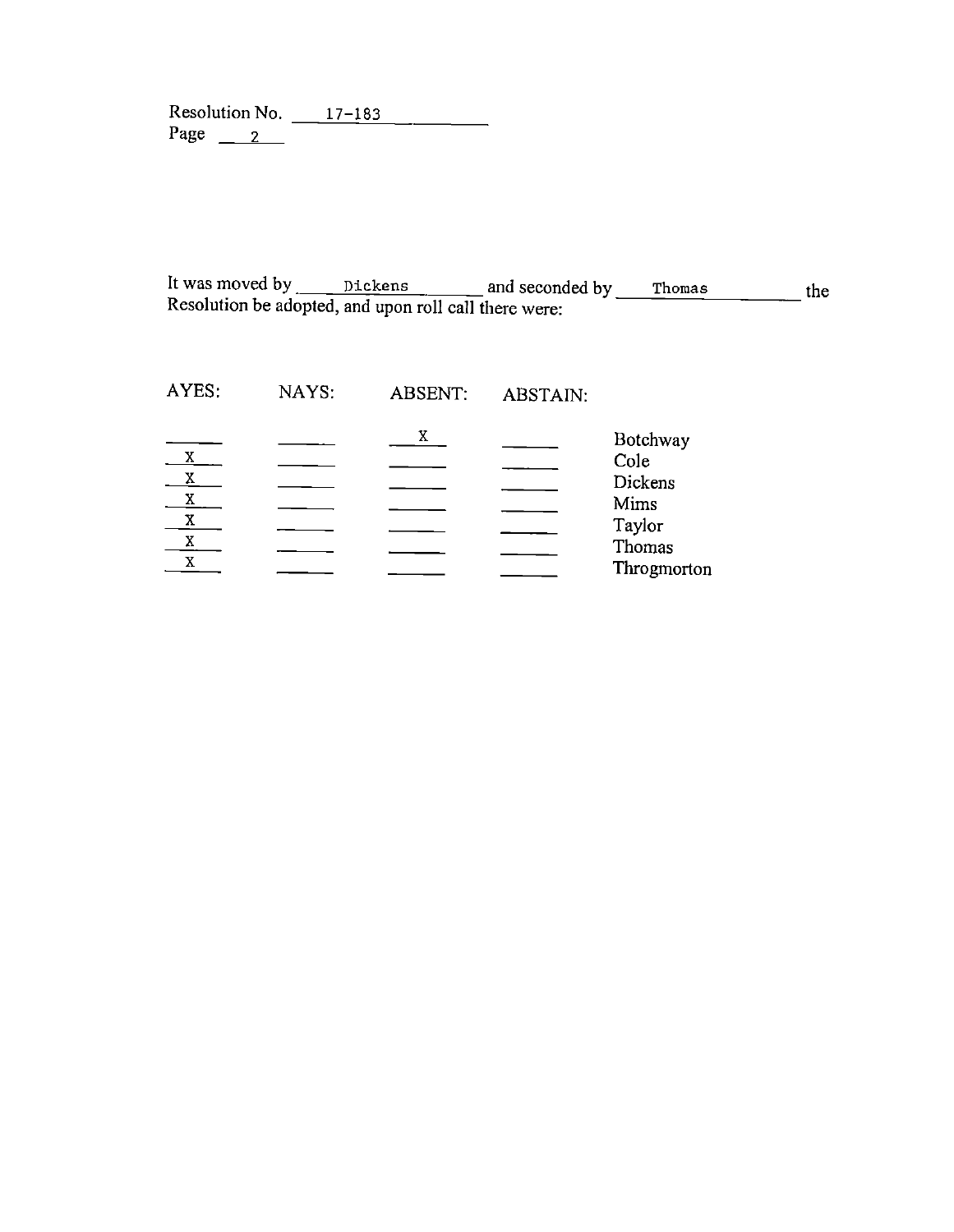Resolution No. \_\_\_ 17–183 Page  $2^{\frac{1}{2}}$ 

It was moved by <u>Dickens</u> and seconded by Resolution be adopted, and upon roll call there were: Thomas the

| AYES:        | NAYS: | <b>ABSENT:</b> | ABSTAIN: |                  |
|--------------|-------|----------------|----------|------------------|
|              |       | X              |          | Botchway         |
| X            |       |                |          | Cole             |
| X<br>X       |       |                |          | Dickens          |
| $\mathbf{X}$ |       |                |          | Mims             |
| $\mathbf{X}$ |       |                |          | Taylor<br>Thomas |
| $\mathbf{X}$ |       |                |          | Throgmorton      |
|              |       |                |          |                  |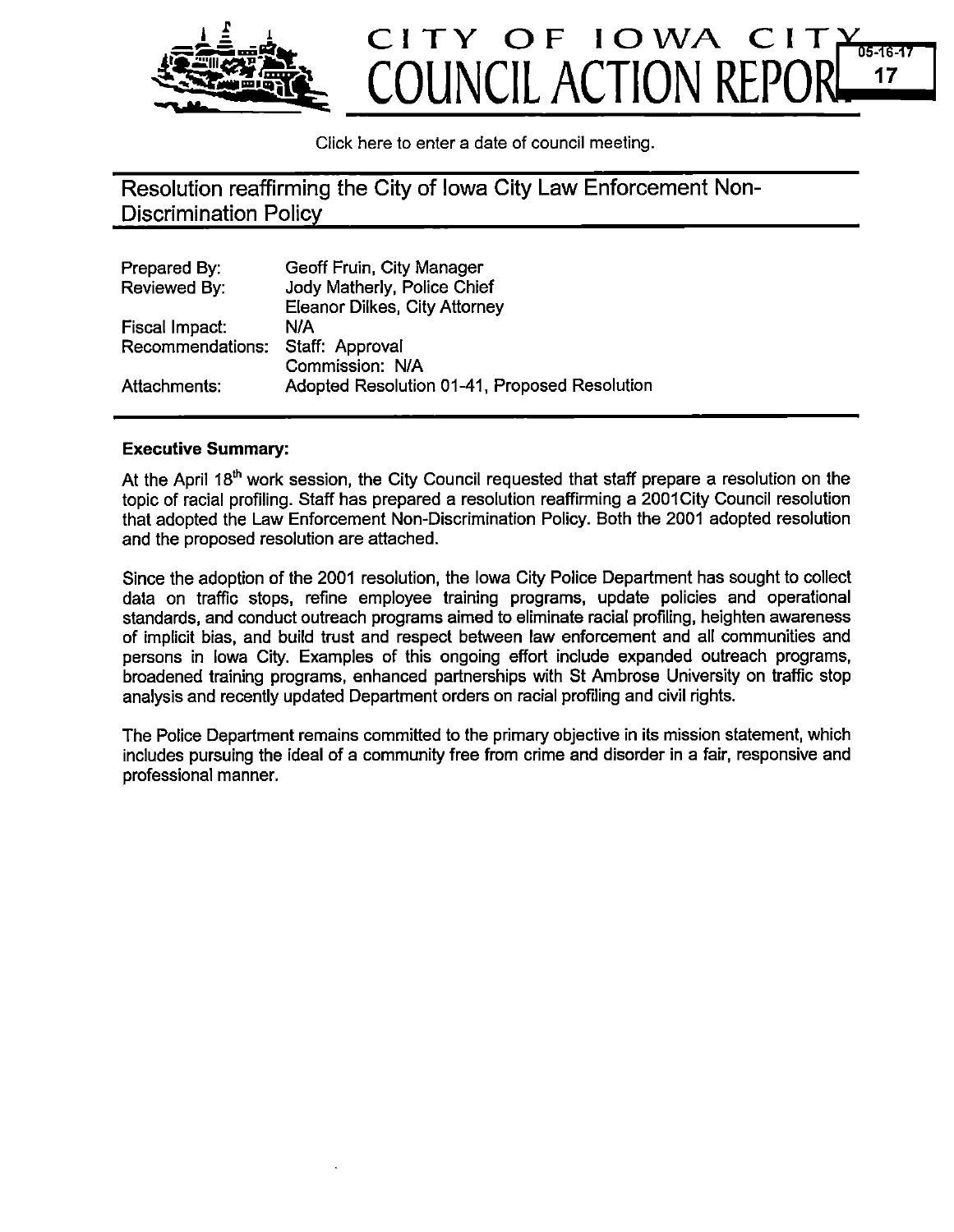

Click here to enter a date of council meeting.

Resolution reaffirming the City of Iowa City Law Enforcement Non - Discrimination Policy

| Prepared By:     | Geoff Fruin, City Manager                     |
|------------------|-----------------------------------------------|
| Reviewed By:     | Jody Matherly, Police Chief                   |
|                  | Eleanor Dilkes, City Attorney                 |
| Fiscal Impact:   | N/A                                           |
| Recommendations: | Staff: Approval                               |
|                  | Commission: N/A                               |
| Attachments:     | Adopted Resolution 01-41, Proposed Resolution |

## Executive Summary:

At the April  $18<sup>th</sup>$  work session, the City Council requested that staff prepare a resolution on the topic of racial profiling. Staff has prepared a resolution reaffirming a 2001 City Council resolution that adopted the Law Enforcement Non -Discrimination Policy. Both the 2001 adopted resolution and the proposed resolution are attached.

Since the adoption of the 2001 resolution, the Iowa City Police Department has sought to collect data on traffic stops, refine employee training programs, update policies and operational standards, and conduct outreach programs aimed to eliminate racial profiling, heighten awareness of implicit bias, and build trust and respect between law enforcement and all communities and persons in Iowa City. Examples of this ongoing effort include expanded outreach programs, broadened training programs, enhanced partnerships with St Ambrose University on traffic stop analysis and recently updated Department orders on racial profiling and civil rights.

The Police Department remains committed to the primary objective in its mission statement, which includes pursuing the ideal of a community free from crime and disorder in a fair, responsive and professional manner.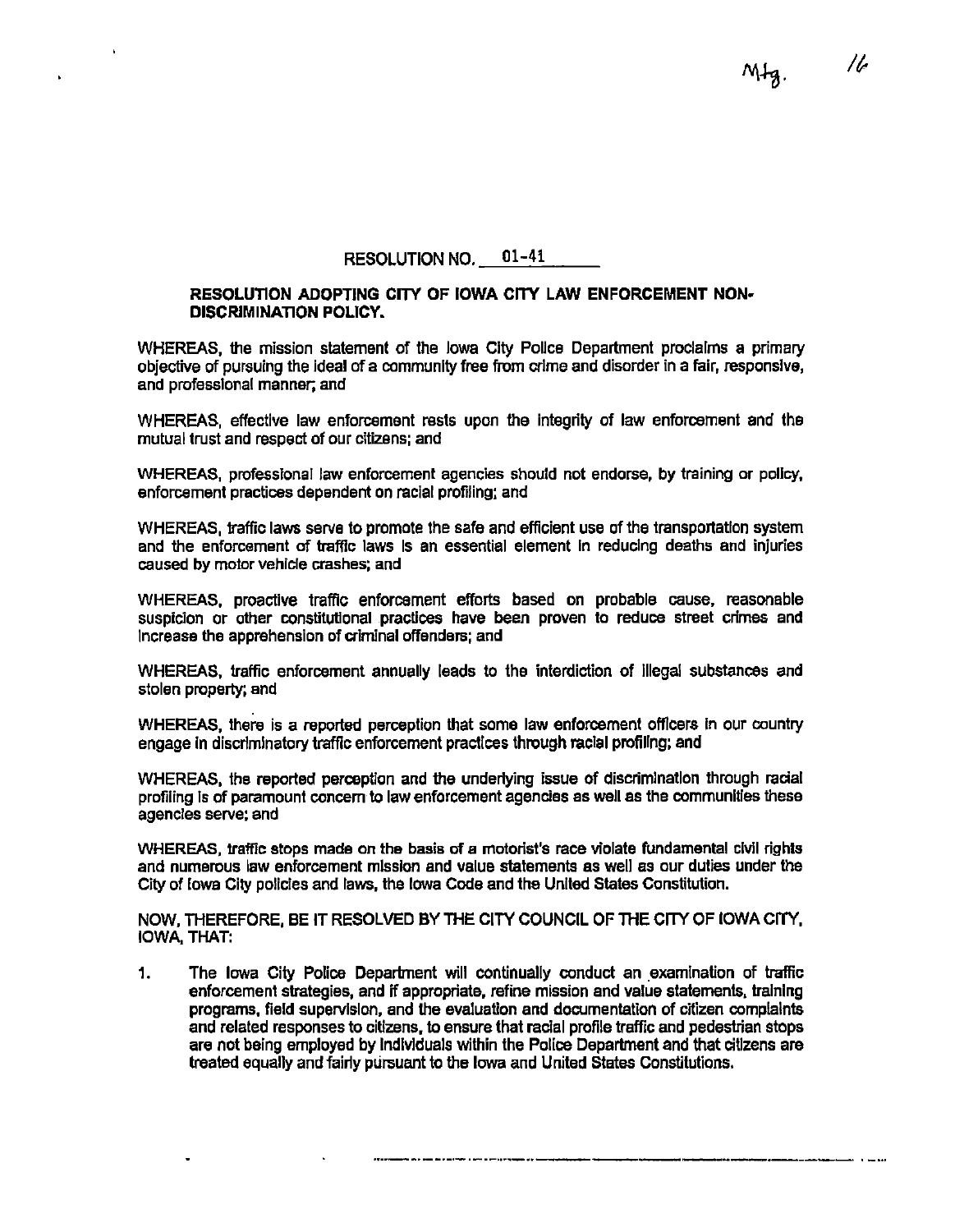RESOLUTION NO. 01-41

## RESOLUTION ADOPTING CITY OF IOWA CITY LAW ENFORCEMENT NON-DISCRIMINATION POLICY.

WHEREAS, the mission statement of the Iowa City Police Department proclaims a primary objective of pursuing the ideal of a community free from crime and disorder in a fair, responsive, and professional manner, and

WHEREAS, effective law enforcement rests upon the integrity of law enforcement and the mutual trust and respect of our citizens; and

WHEREAS, professional law enforcement agencies should not endorse, by training or policy, enforcement practices dependent on racial profiling; and

WHEREAS, traffic laws serve to promote the safe and efficient use of the transportation system and the enforcement of traffic laws Is an essential element In reducing deaths and injuries caused by motor vehicle crashes; and

WHEREAS, proactive traffic enforcement efforts based on probable cause, reasonable suspicion or other constitutional practices have been proven to reduce street crimes and Increase the apprehension of criminal offenders; and

WHEREAS, traffic enforcement annually leads to the interdiction of illegal substances and stolen property; and

WHEREAS, there is a reported perception that some law enforcement officers in our country engage in discriminatory traffic enforcement practices through racial profiling; and

WHEREAS, the reported perception and the underlying issue of discrimination through racial profiling Is of paramount concern to law enforcement agencies as well as the communities these agencies serve; and

WHEREAS, traffic stops made on the basis of a motorist's race violate fundamental civil rights and numerous law enforcement mission and value statements as well as our duties under the City of Iowa City policies and laws, the Iowa Code and the United States Constitution.

NOW, THEREFORE, BE IT RESOLVED BY THE CITY COUNCIL OF THE CITY OF IOWA CITY, IOWA, THAT:

 $1.$ The Iowa City Police Department will continually conduct an examination of traffic enforcement strategies, and if appropriate, refine mission and value statements, training programs, field supervision, and the evaluation and documentation of citizen complaints and related responses to citizens, to ensure that racial profile traffic and pedestrian stops are not being employed by Individuals within the Police Department and that citizens are treated equally and fairly pursuant to the Iowa and United States Constitutions.

16

MIg.